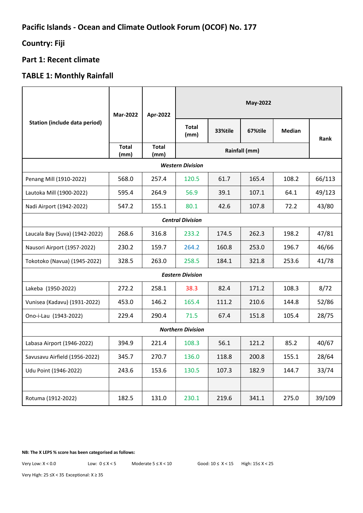# **Country: Fiji**

## **Part 1: Recent climate**

# **TABLE 1: Monthly Rainfall**

| <b>Station (include data period)</b> | <b>Mar-2022</b>      | Apr-2022             | May-2022             |         |         |               |        |
|--------------------------------------|----------------------|----------------------|----------------------|---------|---------|---------------|--------|
|                                      |                      |                      | <b>Total</b><br>(mm) | 33%tile | 67%tile | <b>Median</b> | Rank   |
|                                      | <b>Total</b><br>(mm) | <b>Total</b><br>(mm) | Rainfall (mm)        |         |         |               |        |
| <b>Western Division</b>              |                      |                      |                      |         |         |               |        |
| Penang Mill (1910-2022)              | 568.0                | 257.4                | 120.5                | 61.7    | 165.4   | 108.2         | 66/113 |
| Lautoka Mill (1900-2022)             | 595.4                | 264.9                | 56.9                 | 39.1    | 107.1   | 64.1          | 49/123 |
| Nadi Airport (1942-2022)             | 547.2                | 155.1                | 80.1                 | 42.6    | 107.8   | 72.2          | 43/80  |
| <b>Central Division</b>              |                      |                      |                      |         |         |               |        |
| Laucala Bay (Suva) (1942-2022)       | 268.6                | 316.8                | 233.2                | 174.5   | 262.3   | 198.2         | 47/81  |
| Nausori Airport (1957-2022)          | 230.2                | 159.7                | 264.2                | 160.8   | 253.0   | 196.7         | 46/66  |
| Tokotoko (Navua) (1945-2022)         | 328.5                | 263.0                | 258.5                | 184.1   | 321.8   | 253.6         | 41/78  |
| <b>Eastern Division</b>              |                      |                      |                      |         |         |               |        |
| Lakeba (1950-2022)                   | 272.2                | 258.1                | 38.3                 | 82.4    | 171.2   | 108.3         | 8/72   |
| Vunisea (Kadavu) (1931-2022)         | 453.0                | 146.2                | 165.4                | 111.2   | 210.6   | 144.8         | 52/86  |
| Ono-i-Lau (1943-2022)                | 229.4                | 290.4                | 71.5                 | 67.4    | 151.8   | 105.4         | 28/75  |
| <b>Northern Division</b>             |                      |                      |                      |         |         |               |        |
| Labasa Airport (1946-2022)           | 394.9                | 221.4                | 108.3                | 56.1    | 121.2   | 85.2          | 40/67  |
| Savusavu Airfield (1956-2022)        | 345.7                | 270.7                | 136.0                | 118.8   | 200.8   | 155.1         | 28/64  |
| Udu Point (1946-2022)                | 243.6                | 153.6                | 130.5                | 107.3   | 182.9   | 144.7         | 33/74  |
|                                      |                      |                      |                      |         |         |               |        |
| Rotuma (1912-2022)                   | 182.5                | 131.0                | 230.1                | 219.6   | 341.1   | 275.0         | 39/109 |

#### **NB: The X LEPS % score has been categorised as follows:**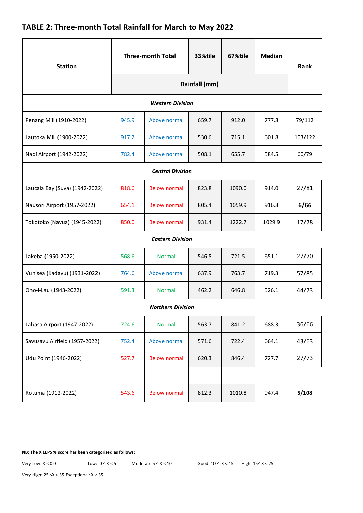# **TABLE 2: Three-month Total Rainfall for March to May 2022**

| <b>Station</b>                 | <b>Three-month Total</b> |                     | 33%tile | 67%tile | <b>Median</b> | Rank    |  |  |
|--------------------------------|--------------------------|---------------------|---------|---------|---------------|---------|--|--|
|                                | Rainfall (mm)            |                     |         |         |               |         |  |  |
| <b>Western Division</b>        |                          |                     |         |         |               |         |  |  |
| Penang Mill (1910-2022)        | 945.9                    | Above normal        | 659.7   | 912.0   | 777.8         | 79/112  |  |  |
| Lautoka Mill (1900-2022)       | 917.2                    | Above normal        | 530.6   | 715.1   | 601.8         | 103/122 |  |  |
| Nadi Airport (1942-2022)       | 782.4                    | Above normal        | 508.1   | 655.7   | 584.5         | 60/79   |  |  |
| <b>Central Division</b>        |                          |                     |         |         |               |         |  |  |
| Laucala Bay (Suva) (1942-2022) | 818.6                    | <b>Below normal</b> | 823.8   | 1090.0  | 914.0         | 27/81   |  |  |
| Nausori Airport (1957-2022)    | 654.1                    | <b>Below normal</b> | 805.4   | 1059.9  | 916.8         | 6/66    |  |  |
| Tokotoko (Navua) (1945-2022)   | 850.0                    | <b>Below normal</b> | 931.4   | 1222.7  | 1029.9        | 17/78   |  |  |
| <b>Eastern Division</b>        |                          |                     |         |         |               |         |  |  |
| Lakeba (1950-2022)             | 568.6                    | <b>Normal</b>       | 546.5   | 721.5   | 651.1         | 27/70   |  |  |
| Vunisea (Kadavu) (1931-2022)   | 764.6                    | Above normal        | 637.9   | 763.7   | 719.3         | 57/85   |  |  |
| Ono-i-Lau (1943-2022)          | 591.3                    | <b>Normal</b>       | 462.2   | 646.8   | 526.1         | 44/73   |  |  |
| <b>Northern Division</b>       |                          |                     |         |         |               |         |  |  |
| Labasa Airport (1947-2022)     | 724.6                    | <b>Normal</b>       | 563.7   | 841.2   | 688.3         | 36/66   |  |  |
| Savusavu Airfield (1957-2022)  | 752.4                    | Above normal        | 571.6   | 722.4   | 664.1         | 43/63   |  |  |
| Udu Point (1946-2022)          | 527.7                    | <b>Below normal</b> | 620.3   | 846.4   | 727.7         | 27/73   |  |  |
|                                |                          |                     |         |         |               |         |  |  |
| Rotuma (1912-2022)             | 543.6                    | <b>Below normal</b> | 812.3   | 1010.8  | 947.4         | 5/108   |  |  |

**NB: The X LEPS % score has been categorised as follows:**

Very Low: X < 0.0 Low: 0 ≤ X < 5 Moderate 5 ≤ X < 10 Good: 10 ≤ X < 15 High: 15≤ X < 25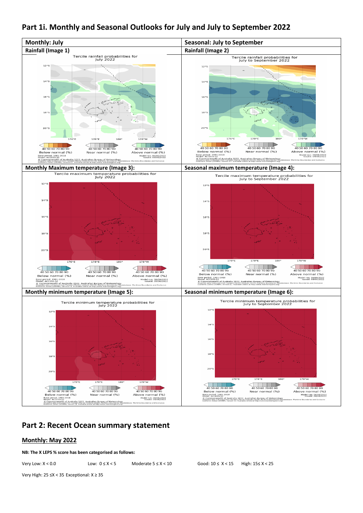## **Part 1i. Monthly and Seasonal Outlooks for July and July to September 2022**



### **Part 2: Recent Ocean summary statement**

### **Monthly: May 2022**

**NB: The X LEPS % score has been categorised as follows:**

Very Low: X < 0.0 Low: 0 ≤ X < 5 Moderate 5 ≤ X < 10 Good: 10 ≤ X < 15 High: 15≤ X < 25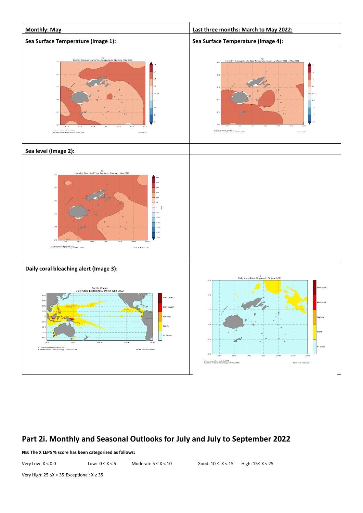

# **Part 2i. Monthly and Seasonal Outlooks for July and July to September 2022**

**NB: The X LEPS % score has been categorised as follows:**

Very Low: X < 0.0 Low: 0 ≤ X < 5 Moderate 5 ≤ X < 10 Good: 10 ≤ X < 15 High: 15≤ X < 25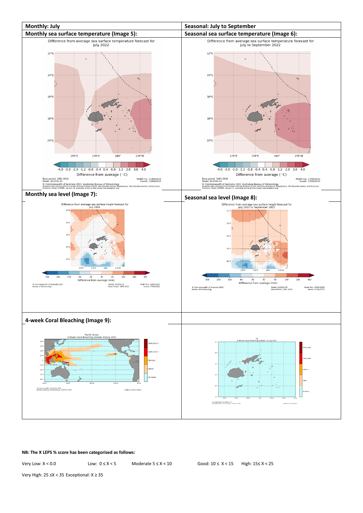

#### **NB: The X LEPS % score has been categorised as follows:**

Very Low: X < 0.0 Low: 0 ≤ X < 5 Moderate 5 ≤ X < 10 Good: 10 ≤ X < 15 High: 15≤ X < 25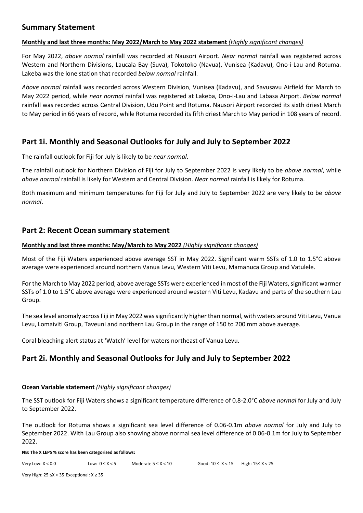### **Summary Statement**

### **Monthly and last three months: May 2022/March to May 2022 statement** *(Highly significant changes)*

For May 2022, *above normal* rainfall was recorded at Nausori Airport. *Near normal* rainfall was registered across Western and Northern Divisions, Laucala Bay (Suva), Tokotoko (Navua), Vunisea (Kadavu), Ono-i-Lau and Rotuma. Lakeba was the lone station that recorded *below normal* rainfall.

*Above normal* rainfall was recorded across Western Division, Vunisea (Kadavu), and Savusavu Airfield for March to May 2022 period, while *near normal* rainfall was registered at Lakeba, Ono-i-Lau and Labasa Airport. *Below normal* rainfall was recorded across Central Division, Udu Point and Rotuma. Nausori Airport recorded its sixth driest March to May period in 66 years of record, while Rotuma recorded its fifth driest March to May period in 108 years of record.

## **Part 1i. Monthly and Seasonal Outlooks for July and July to September 2022**

The rainfall outlook for Fiji for July is likely to be *near normal*.

The rainfall outlook for Northern Division of Fiji for July to September 2022 is very likely to be *above normal*, while *above normal* rainfall is likely for Western and Central Division. *Near normal* rainfall is likely for Rotuma.

Both maximum and minimum temperatures for Fiji for July and July to September 2022 are very likely to be *above normal*.

### **Part 2: Recent Ocean summary statement**

### **Monthly and last three months: May/March to May 2022** *(Highly significant changes)*

Most of the Fiji Waters experienced above average SST in May 2022. Significant warm SSTs of 1.0 to 1.5°C above average were experienced around northern Vanua Levu, Western Viti Levu, Mamanuca Group and Vatulele.

For the March to May 2022 period, above average SSTs were experienced in most of the Fiji Waters, significant warmer SSTs of 1.0 to 1.5°C above average were experienced around western Viti Levu, Kadavu and parts of the southern Lau Group.

The sea level anomaly across Fiji in May 2022 was significantly higher than normal, with waters around Viti Levu, Vanua Levu, Lomaiviti Group, Taveuni and northern Lau Group in the range of 150 to 200 mm above average*.* 

Coral bleaching alert status at 'Watch' level for waters northeast of Vanua Levu.

## **Part 2i. Monthly and Seasonal Outlooks for July and July to September 2022**

### **Ocean Variable statement** *(Highly significant changes)*

The SST outlook for Fiji Waters shows a significant temperature difference of 0.8-2.0°C *above normal* for July and July to September 2022.

The outlook for Rotuma shows a significant sea level difference of 0.06-0.1m *above normal* for July and July to September 2022. With Lau Group also showing above normal sea level difference of 0.06-0.1m for July to September 2022.

**NB: The X LEPS % score has been categorised as follows:**